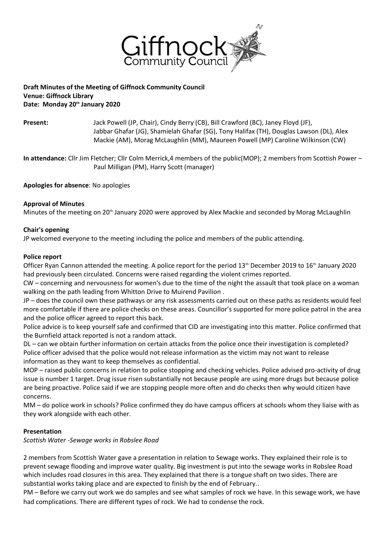

## **Draft Minutes of the Meeting of Giffnock Community Council Venue: Giffnock Library Date: Monday 20th January 2020**

**Present:** Jack Powell (JP, Chair), Cindy Berry (CB), Bill Crawford (BC), Janey Floyd (JF), Jabbar Ghafar (JG), Shamielah Ghafar (SG), Tony Halifax (TH), Douglas Lawson (DL), Alex Mackie (AM), Morag McLaughlin (MM), Maureen Powell (MP) Caroline Wilkinson (CW)

**In attendance:** Cllr Jim Fletcher; Cllr Colm Merrick,4 members of the public(MOP); 2 members from Scottish Power – Paul Milligan (PM), Harry Scott (manager)

**Apologies for absence**: No apologies

## **Approval of Minutes**

Minutes of the meeting on 20<sup>th</sup> January 2020 were approved by Alex Mackie and seconded by Morag McLaughlin

#### **Chair's opening**

JP welcomed everyone to the meeting including the police and members of the public attending.

#### **Police report**

Officer Ryan Cannon attended the meeting. A police report for the period  $13<sup>th</sup>$  December 2019 to  $16<sup>th</sup>$  January 2020 had previously been circulated. Concerns were raised regarding the violent crimes reported.

CW – concerning and nervousness for women's due to the time of the night the assault that took place on a woman walking on the path leading from Whitton Drive to Muirend Pavilion .

JP – does the council own these pathways or any risk assessments carried out on these paths as residents would feel more comfortable if there are police checks on these areas. Councillor's supported for more police patrol in the area and the police officer agreed to report this back.

Police advice is to keep yourself safe and confirmed that CID are investigating into this matter. Police confirmed that the Burnfield attack reported is not a random attack.

DL – can we obtain further information on certain attacks from the police once their investigation is completed? Police officer advised that the police would not release information as the victim may not want to release information as they want to keep themselves as confidential.

MOP – raised public concerns in relation to police stopping and checking vehicles. Police advised pro-activity of drug issue is number 1 target. Drug issue risen substantially not because people are using more drugs but because police are being proactive. Police said if we are stopping people more often and do checks then why would citizen have concerns.

MM – do police work in schools? Police confirmed they do have campus officers at schools whom they liaise with as they work alongside with each other.

# **Presentation**

*Scottish Water -Sewage works in Robslee Road* 

2 members from Scottish Water gave a presentation in relation to Sewage works. They explained their role is to prevent sewage flooding and improve water quality. Big investment is put into the sewage works in Robslee Road which includes road closures in this area. They explained that there is a tongue shaft on two sides. There are substantial works taking place and are expected to finish by the end of February..

PM – Before we carry out work we do samples and see what samples of rock we have. In this sewage work, we have had complications. There are different types of rock. We had to condense the rock.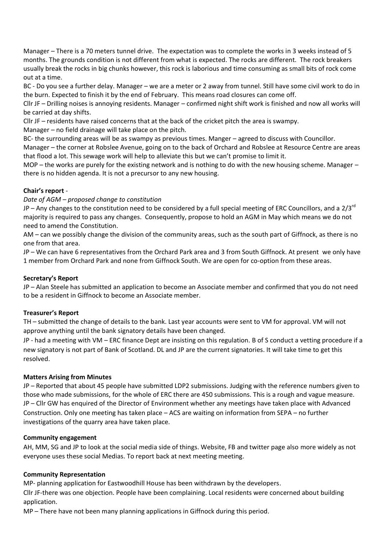Manager – There is a 70 meters tunnel drive. The expectation was to complete the works in 3 weeks instead of 5 months. The grounds condition is not different from what is expected. The rocks are different. The rock breakers usually break the rocks in big chunks however, this rock is laborious and time consuming as small bits of rock come out at a time.

BC - Do you see a further delay. Manager – we are a meter or 2 away from tunnel. Still have some civil work to do in the burn. Expected to finish it by the end of February. This means road closures can come off.

Cllr JF – Drilling noises is annoying residents. Manager – confirmed night shift work is finished and now all works will be carried at day shifts.

Cllr JF – residents have raised concerns that at the back of the cricket pitch the area is swampy.

Manager – no field drainage will take place on the pitch.

BC- the surrounding areas will be as swampy as previous times. Manger – agreed to discuss with Councillor.

Manager – the corner at Robslee Avenue, going on to the back of Orchard and Robslee at Resource Centre are areas that flood a lot. This sewage work will help to alleviate this but we can't promise to limit it.

MOP – the works are purely for the existing network and is nothing to do with the new housing scheme. Manager – there is no hidden agenda. It is not a precursor to any new housing.

## **Chair's report** -

#### *Date of AGM – proposed change to constitution*

JP – Any changes to the constitution need to be considered by a full special meeting of ERC Councillors, and a 2/3<sup>rd</sup> majority is required to pass any changes. Consequently, propose to hold an AGM in May which means we do not need to amend the Constitution.

AM – can we possibly change the division of the community areas, such as the south part of Giffnock, as there is no one from that area.

JP – We can have 6 representatives from the Orchard Park area and 3 from South Giffnock. At present we only have 1 member from Orchard Park and none from Giffnock South. We are open for co-option from these areas.

#### **Secretary's Report**

JP – Alan Steele has submitted an application to become an Associate member and confirmed that you do not need to be a resident in Giffnock to become an Associate member.

#### **Treasurer's Report**

TH – submitted the change of details to the bank. Last year accounts were sent to VM for approval. VM will not approve anything until the bank signatory details have been changed.

JP - had a meeting with VM – ERC finance Dept are insisting on this regulation. B of S conduct a vetting procedure if a new signatory is not part of Bank of Scotland. DL and JP are the current signatories. It will take time to get this resolved.

#### **Matters Arising from Minutes**

JP – Reported that about 45 people have submitted LDP2 submissions. Judging with the reference numbers given to those who made submissions, for the whole of ERC there are 450 submissions. This is a rough and vague measure. JP – Cllr GW has enquired of the Director of Environment whether any meetings have taken place with Advanced Construction. Only one meeting has taken place – ACS are waiting on information from SEPA – no further investigations of the quarry area have taken place.

#### **Community engagement**

AH, MM, SG and JP to look at the social media side of things. Website, FB and twitter page also more widely as not everyone uses these social Medias. To report back at next meeting meeting.

#### **Community Representation**

MP- planning application for Eastwoodhill House has been withdrawn by the developers.

Cllr JF-there was one objection. People have been complaining. Local residents were concerned about building application.

MP – There have not been many planning applications in Giffnock during this period.